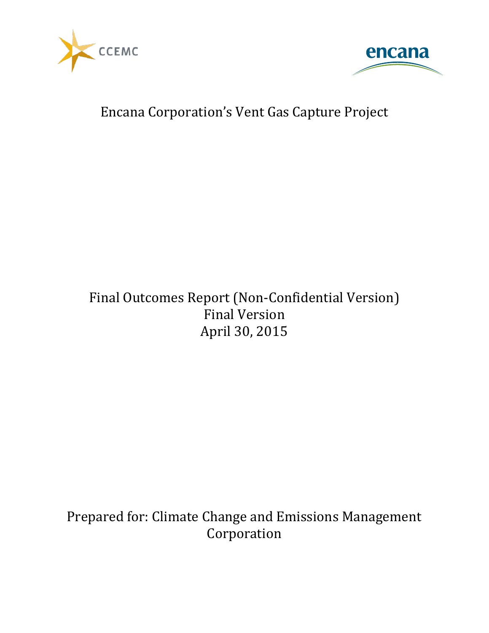



## Encana Corporation's Vent Gas Capture Project

## Final Outcomes Report (Non-Confidential Version) Final Version April 30, 2015

Prepared for: Climate Change and Emissions Management Corporation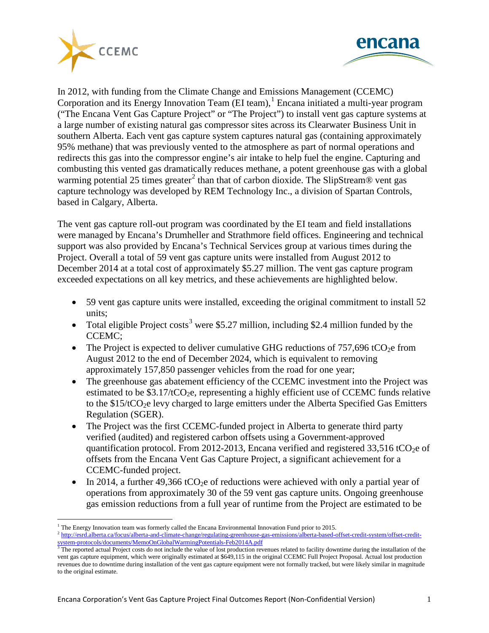



In 2012, with funding from the Climate Change and Emissions Management (CCEMC) Corporation and its Energy Innovation Team (EI team), [1](#page-1-0) Encana initiated a multi-year program ("The Encana Vent Gas Capture Project" or "The Project") to install vent gas capture systems at a large number of existing natural gas compressor sites across its Clearwater Business Unit in southern Alberta. Each vent gas capture system captures natural gas (containing approximately 95% methane) that was previously vented to the atmosphere as part of normal operations and redirects this gas into the compressor engine's air intake to help fuel the engine. Capturing and combusting this vented gas dramatically reduces methane, a potent greenhouse gas with a global warming potential [2](#page-1-1)5 times greater<sup>2</sup> than that of carbon dioxide. The SlipStream® vent gas capture technology was developed by REM Technology Inc., a division of Spartan Controls, based in Calgary, Alberta.

The vent gas capture roll-out program was coordinated by the EI team and field installations were managed by Encana's Drumheller and Strathmore field offices. Engineering and technical support was also provided by Encana's Technical Services group at various times during the Project. Overall a total of 59 vent gas capture units were installed from August 2012 to December 2014 at a total cost of approximately \$5.27 million. The vent gas capture program exceeded expectations on all key metrics, and these achievements are highlighted below.

- 59 vent gas capture units were installed, exceeding the original commitment to install 52 units;
- Total eligible Project costs<sup>[3](#page-1-2)</sup> were \$5.27 million, including \$2.4 million funded by the CCEMC;
- The Project is expected to deliver cumulative GHG reductions of  $757,696$  tCO<sub>2</sub>e from August 2012 to the end of December 2024, which is equivalent to removing approximately 157,850 passenger vehicles from the road for one year;
- The greenhouse gas abatement efficiency of the CCEMC investment into the Project was estimated to be  $$3.17/tCO$ <sub>2</sub>e, representing a highly efficient use of CCEMC funds relative to the  $$15/tCO<sub>2</sub>e$  levy charged to large emitters under the Alberta Specified Gas Emitters Regulation (SGER).
- The Project was the first CCEMC-funded project in Alberta to generate third party verified (audited) and registered carbon offsets using a Government-approved quantification protocol. From 2012-2013, Encana verified and registered  $33,516$  tCO<sub>2</sub>e of offsets from the Encana Vent Gas Capture Project, a significant achievement for a CCEMC-funded project.
- In 2014, a further 49,366 tCO<sub>2</sub>e of reductions were achieved with only a partial year of operations from approximately 30 of the 59 vent gas capture units. Ongoing greenhouse gas emission reductions from a full year of runtime from the Project are estimated to be

<sup>&</sup>lt;sup>1</sup> The Energy Innovation team was formerly called the Encana Environmental Innovation Fund prior to 2015.

<span id="page-1-1"></span><span id="page-1-0"></span><sup>&</sup>lt;sup>2</sup> [http://esrd.alberta.ca/focus/alberta-and-climate-change/regulating-greenhouse-gas-emissions/alberta-based-offset-credit-system/offset-credit](http://esrd.alberta.ca/focus/alberta-and-climate-change/regulating-greenhouse-gas-emissions/alberta-based-offset-credit-system/offset-credit-system-protocols/documents/MemoOnGlobalWarmingPotentials-Feb2014A.pdf)[system-protocols/documents/MemoOnGlobalWarmingPotentials-Feb2014A.pdf](http://esrd.alberta.ca/focus/alberta-and-climate-change/regulating-greenhouse-gas-emissions/alberta-based-offset-credit-system/offset-credit-system-protocols/documents/MemoOnGlobalWarmingPotentials-Feb2014A.pdf)<br><sup>3</sup> The reported actual Project costs do not include the value of lost production revenues related to facility downtime during the installation of the

<span id="page-1-2"></span>vent gas capture equipment, which were originally estimated at \$649,115 in the original CCEMC Full Project Proposal. Actual lost production revenues due to downtime during installation of the vent gas capture equipment were not formally tracked, but were likely similar in magnitude to the original estimate.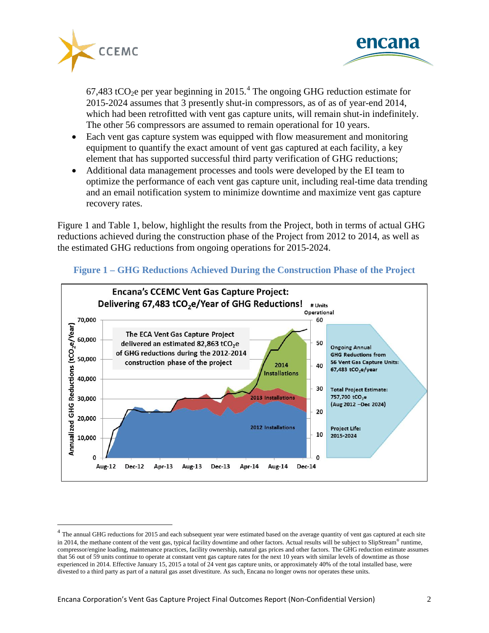



67,[4](#page-2-0)83 tCO<sub>2</sub>e per year beginning in 2015.<sup>4</sup> The ongoing GHG reduction estimate for 2015-2024 assumes that 3 presently shut-in compressors, as of as of year-end 2014, which had been retrofitted with vent gas capture units, will remain shut-in indefinitely. The other 56 compressors are assumed to remain operational for 10 years.

- Each vent gas capture system was equipped with flow measurement and monitoring equipment to quantify the exact amount of vent gas captured at each facility, a key element that has supported successful third party verification of GHG reductions;
- Additional data management processes and tools were developed by the EI team to optimize the performance of each vent gas capture unit, including real-time data trending and an email notification system to minimize downtime and maximize vent gas capture recovery rates.

Figure 1 and Table 1, below, highlight the results from the Project, both in terms of actual GHG reductions achieved during the construction phase of the Project from 2012 to 2014, as well as the estimated GHG reductions from ongoing operations for 2015-2024.



## **Figure 1 – GHG Reductions Achieved During the Construction Phase of the Project**

<span id="page-2-0"></span> $4$  The annual GHG reductions for 2015 and each subsequent year were estimated based on the average quantity of vent gas captured at each site in 2014, the methane content of the vent gas, typical facility downtime and other factors. Actual results will be subject to SlipStream<sup>®</sup> runtime, compressor/engine loading, maintenance practices, facility ownership, natural gas prices and other factors. The GHG reduction estimate assumes that 56 out of 59 units continue to operate at constant vent gas capture rates for the next 10 years with similar levels of downtime as those experienced in 2014. Effective January 15, 2015 a total of 24 vent gas capture units, or approximately 40% of the total installed base, were divested to a third party as part of a natural gas asset divestiture. As such, Encana no longer owns nor operates these units.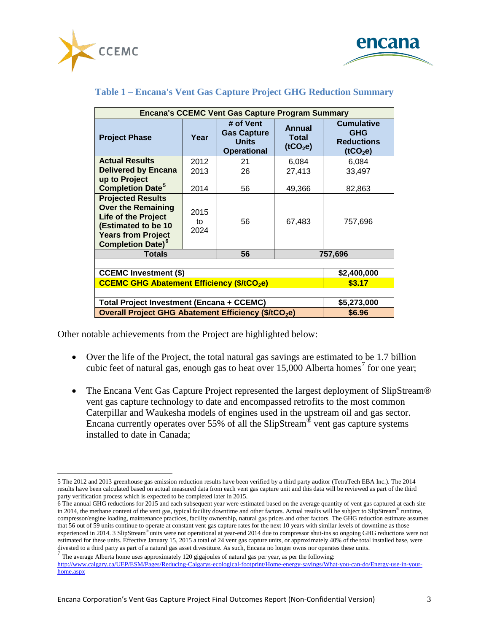



| <b>Encana's CCEMC Vent Gas Capture Program Summary</b>                                                                                                                         |                    |                                                                       |                                         |                                                                              |
|--------------------------------------------------------------------------------------------------------------------------------------------------------------------------------|--------------------|-----------------------------------------------------------------------|-----------------------------------------|------------------------------------------------------------------------------|
| <b>Project Phase</b>                                                                                                                                                           | Year               | # of Vent<br><b>Gas Capture</b><br><b>Units</b><br><b>Operational</b> | Annual<br>Total<br>(tCO <sub>2</sub> e) | <b>Cumulative</b><br><b>GHG</b><br><b>Reductions</b><br>(tCO <sub>2</sub> e) |
| <b>Actual Results</b>                                                                                                                                                          | 2012               | 21                                                                    | 6,084                                   | 6,084                                                                        |
| <b>Delivered by Encana</b>                                                                                                                                                     | 2013               | 26                                                                    | 27,413                                  | 33,497                                                                       |
| up to Project                                                                                                                                                                  |                    |                                                                       |                                         |                                                                              |
| <b>Completion Date<sup>5</sup></b>                                                                                                                                             | 2014               | 56                                                                    | 49,366                                  | 82,863                                                                       |
| <b>Projected Results</b><br><b>Over the Remaining</b><br><b>Life of the Project</b><br>(Estimated to be 10<br><b>Years from Project</b><br><b>Completion Date)<sup>6</sup></b> | 2015<br>tο<br>2024 | 56                                                                    | 67,483                                  | 757,696                                                                      |
| Totals                                                                                                                                                                         |                    | 56                                                                    | 757,696                                 |                                                                              |
|                                                                                                                                                                                |                    |                                                                       |                                         |                                                                              |
| <b>CCEMC Investment (\$)</b>                                                                                                                                                   |                    |                                                                       |                                         | \$2,400,000                                                                  |
| <b>CCEMC GHG Abatement Efficiency (\$/tCO2e)</b>                                                                                                                               |                    |                                                                       |                                         | \$3.17                                                                       |
|                                                                                                                                                                                |                    |                                                                       |                                         |                                                                              |
| Total Project Investment (Encana + CCEMC)                                                                                                                                      |                    |                                                                       |                                         | \$5,273,000                                                                  |
| Overall Project GHG Abatement Efficiency (\$/tCO <sub>2</sub> e)                                                                                                               |                    |                                                                       |                                         | \$6.96                                                                       |

## **Table 1 – Encana's Vent Gas Capture Project GHG Reduction Summary**

Other notable achievements from the Project are highlighted below:

- Over the life of the Project, the total natural gas savings are estimated to be 1.7 billion cubic feet of natural gas, enough gas to heat over  $15,000$  Alberta homes<sup>[7](#page-3-2)</sup> for one year;
- The Encana Vent Gas Capture Project represented the largest deployment of SlipStream® vent gas capture technology to date and encompassed retrofits to the most common Caterpillar and Waukesha models of engines used in the upstream oil and gas sector. Encana currently operates over 55% of all the SlipStream<sup>®</sup> vent gas capture systems installed to date in Canada;

<span id="page-3-0"></span> <sup>5</sup> The 2012 and 2013 greenhouse gas emission reduction results have been verified by a third party auditor (TetraTech EBA Inc.). The 2014 results have been calculated based on actual measured data from each vent gas capture unit and this data will be reviewed as part of the third party verification process which is expected to be completed later in 2015.

<span id="page-3-1"></span><sup>6</sup> The annual GHG reductions for 2015 and each subsequent year were estimated based on the average quantity of vent gas captured at each site in 2014, the methane content of the vent gas, typical facility downtime and other factors. Actual results will be subject to SlipStream® runtime, compressor/engine loading, maintenance practices, facility ownership, natural gas prices and other factors. The GHG reduction estimate assumes that 56 out of 59 units continue to operate at constant vent gas capture rates for the next 10 years with similar levels of downtime as those experienced in 2014. 3 SlipStream® units were not operational at year-end 2014 due to compressor shut-ins so ongoing GHG reductions were not estimated for these units. Effective January 15, 2015 a total of 24 vent gas capture units, or approximately 40% of the total installed base, were divested to a third party as part of a natural gas asset divestiture. As such, Encana no longer owns nor operates these units.<br> $\frac{7}{1}$  The average Alberta home uses approximately 120 gigajoules of natural gas per year,

<span id="page-3-2"></span>[http://www.calgary.ca/UEP/ESM/Pages/Reducing-Calgarys-ecological-footprint/Home-energy-savings/What-you-can-do/Energy-use-in-your](http://www.calgary.ca/UEP/ESM/Pages/Reducing-Calgarys-ecological-footprint/Home-energy-savings/What-you-can-do/Energy-use-in-your-home.aspx)[home.aspx](http://www.calgary.ca/UEP/ESM/Pages/Reducing-Calgarys-ecological-footprint/Home-energy-savings/What-you-can-do/Energy-use-in-your-home.aspx)